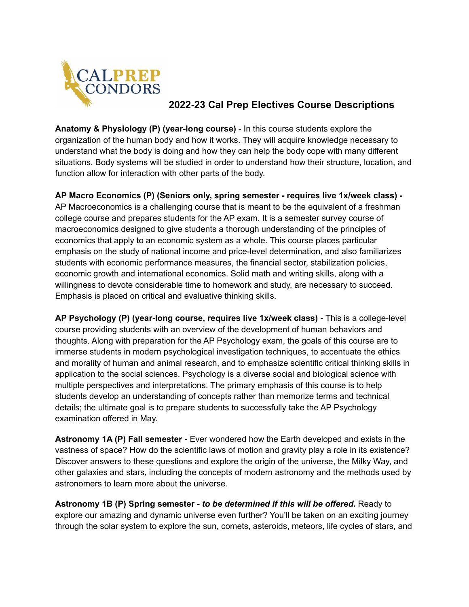

## **2022-23 Cal Prep Electives Course Descriptions**

**Anatomy & Physiology (P) (year-long course)** - In this course students explore the organization of the human body and how it works. They will acquire knowledge necessary to understand what the body is doing and how they can help the body cope with many different situations. Body systems will be studied in order to understand how their structure, location, and function allow for interaction with other parts of the body.

**AP Macro Economics (P) (Seniors only, spring semester - requires live 1x/week class) -** AP Macroeconomics is a challenging course that is meant to be the equivalent of a freshman college course and prepares students for the AP exam. It is a semester survey course of macroeconomics designed to give students a thorough understanding of the principles of economics that apply to an economic system as a whole. This course places particular emphasis on the study of national income and price-level determination, and also familiarizes students with economic performance measures, the financial sector, stabilization policies, economic growth and international economics. Solid math and writing skills, along with a willingness to devote considerable time to homework and study, are necessary to succeed. Emphasis is placed on critical and evaluative thinking skills.

**AP Psychology (P) (year-long course, requires live 1x/week class) -** This is a college-level course providing students with an overview of the development of human behaviors and thoughts. Along with preparation for the AP Psychology exam, the goals of this course are to immerse students in modern psychological investigation techniques, to accentuate the ethics and morality of human and animal research, and to emphasize scientific critical thinking skills in application to the social sciences. Psychology is a diverse social and biological science with multiple perspectives and interpretations. The primary emphasis of this course is to help students develop an understanding of concepts rather than memorize terms and technical details; the ultimate goal is to prepare students to successfully take the AP Psychology examination offered in May.

**Astronomy 1A (P) Fall semester -** Ever wondered how the Earth developed and exists in the vastness of space? How do the scientific laws of motion and gravity play a role in its existence? Discover answers to these questions and explore the origin of the universe, the Milky Way, and other galaxies and stars, including the concepts of modern astronomy and the methods used by astronomers to learn more about the universe.

**Astronomy 1B (P) Spring semester -** *to be determined if this will be offered.* Ready to explore our amazing and dynamic universe even further? You'll be taken on an exciting journey through the solar system to explore the sun, comets, asteroids, meteors, life cycles of stars, and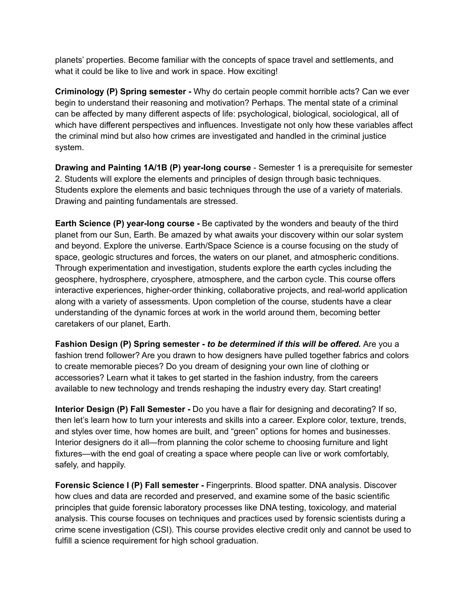planets' properties. Become familiar with the concepts of space travel and settlements, and what it could be like to live and work in space. How exciting!

**Criminology (P) Spring semester -** Why do certain people commit horrible acts? Can we ever begin to understand their reasoning and motivation? Perhaps. The mental state of a criminal can be affected by many different aspects of life: psychological, biological, sociological, all of which have different perspectives and influences. Investigate not only how these variables affect the criminal mind but also how crimes are investigated and handled in the criminal justice system.

**Drawing and Painting 1A/1B (P) year-long course** - Semester 1 is a prerequisite for semester 2. Students will explore the elements and principles of design through basic techniques. Students explore the elements and basic techniques through the use of a variety of materials. Drawing and painting fundamentals are stressed.

**Earth Science (P) year-long course -** Be captivated by the wonders and beauty of the third planet from our Sun, Earth. Be amazed by what awaits your discovery within our solar system and beyond. Explore the universe. Earth/Space Science is a course focusing on the study of space, geologic structures and forces, the waters on our planet, and atmospheric conditions. Through experimentation and investigation, students explore the earth cycles including the geosphere, hydrosphere, cryosphere, atmosphere, and the carbon cycle. This course offers interactive experiences, higher-order thinking, collaborative projects, and real-world application along with a variety of assessments. Upon completion of the course, students have a clear understanding of the dynamic forces at work in the world around them, becoming better caretakers of our planet, Earth.

**Fashion Design (P) Spring semester -** *to be determined if this will be offered.* Are you a fashion trend follower? Are you drawn to how designers have pulled together fabrics and colors to create memorable pieces? Do you dream of designing your own line of clothing or accessories? Learn what it takes to get started in the fashion industry, from the careers available to new technology and trends reshaping the industry every day. Start creating!

**Interior Design (P) Fall Semester -** Do you have a flair for designing and decorating? If so, then let's learn how to turn your interests and skills into a career. Explore color, texture, trends, and styles over time, how homes are built, and "green" options for homes and businesses. Interior designers do it all—from planning the color scheme to choosing furniture and light fixtures—with the end goal of creating a space where people can live or work comfortably, safely, and happily.

**Forensic Science I (P) Fall semester -** Fingerprints. Blood spatter. DNA analysis. Discover how clues and data are recorded and preserved, and examine some of the basic scientific principles that guide forensic laboratory processes like DNA testing, toxicology, and material analysis. This course focuses on techniques and practices used by forensic scientists during a crime scene investigation (CSI). This course provides elective credit only and cannot be used to fulfill a science requirement for high school graduation.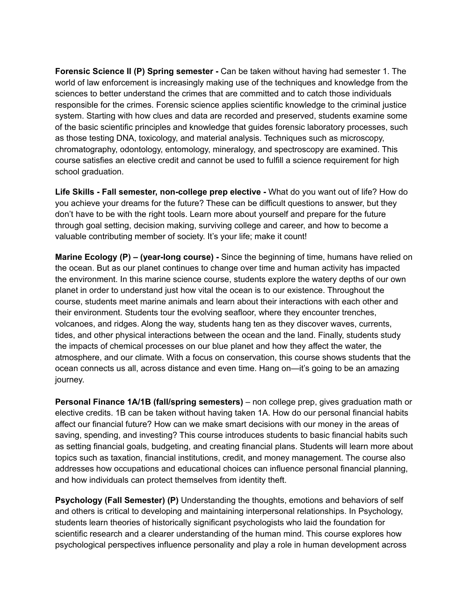**Forensic Science II (P) Spring semester -** Can be taken without having had semester 1. The world of law enforcement is increasingly making use of the techniques and knowledge from the sciences to better understand the crimes that are committed and to catch those individuals responsible for the crimes. Forensic science applies scientific knowledge to the criminal justice system. Starting with how clues and data are recorded and preserved, students examine some of the basic scientific principles and knowledge that guides forensic laboratory processes, such as those testing DNA, toxicology, and material analysis. Techniques such as microscopy, chromatography, odontology, entomology, mineralogy, and spectroscopy are examined. This course satisfies an elective credit and cannot be used to fulfill a science requirement for high school graduation.

**Life Skills - Fall semester, non-college prep elective -** What do you want out of life? How do you achieve your dreams for the future? These can be difficult questions to answer, but they don't have to be with the right tools. Learn more about yourself and prepare for the future through goal setting, decision making, surviving college and career, and how to become a valuable contributing member of society. It's your life; make it count!

**Marine Ecology (P) – (year-long course) -** Since the beginning of time, humans have relied on the ocean. But as our planet continues to change over time and human activity has impacted the environment. In this marine science course, students explore the watery depths of our own planet in order to understand just how vital the ocean is to our existence. Throughout the course, students meet marine animals and learn about their interactions with each other and their environment. Students tour the evolving seafloor, where they encounter trenches, volcanoes, and ridges. Along the way, students hang ten as they discover waves, currents, tides, and other physical interactions between the ocean and the land. Finally, students study the impacts of chemical processes on our blue planet and how they affect the water, the atmosphere, and our climate. With a focus on conservation, this course shows students that the ocean connects us all, across distance and even time. Hang on—it's going to be an amazing journey.

**Personal Finance 1A/1B (fall/spring semesters)** – non college prep, gives graduation math or elective credits. 1B can be taken without having taken 1A. How do our personal financial habits affect our financial future? How can we make smart decisions with our money in the areas of saving, spending, and investing? This course introduces students to basic financial habits such as setting financial goals, budgeting, and creating financial plans. Students will learn more about topics such as taxation, financial institutions, credit, and money management. The course also addresses how occupations and educational choices can influence personal financial planning, and how individuals can protect themselves from identity theft.

**Psychology (Fall Semester) (P)** Understanding the thoughts, emotions and behaviors of self and others is critical to developing and maintaining interpersonal relationships. In Psychology, students learn theories of historically significant psychologists who laid the foundation for scientific research and a clearer understanding of the human mind. This course explores how psychological perspectives influence personality and play a role in human development across